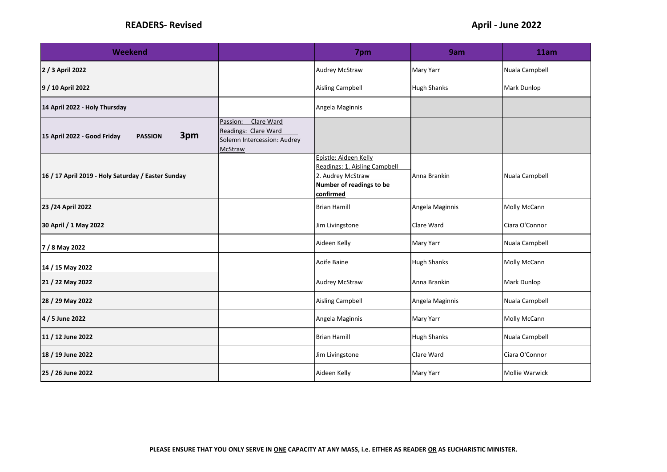| <b>Weekend</b>                                       |                                                                                                 | 7pm                                                                                                                  | 9am             | 11am           |
|------------------------------------------------------|-------------------------------------------------------------------------------------------------|----------------------------------------------------------------------------------------------------------------------|-----------------|----------------|
| 2 / 3 April 2022                                     |                                                                                                 | <b>Audrey McStraw</b>                                                                                                | Mary Yarr       | Nuala Campbell |
| 9 / 10 April 2022                                    |                                                                                                 | <b>Aisling Campbell</b>                                                                                              | Hugh Shanks     | Mark Dunlop    |
| 14 April 2022 - Holy Thursday                        |                                                                                                 | Angela Maginnis                                                                                                      |                 |                |
| 3pm<br>15 April 2022 - Good Friday<br><b>PASSION</b> | Clare Ward<br>Passion:<br>Readings: Clare Ward<br>Solemn Intercession: Audrey<br><b>McStraw</b> |                                                                                                                      |                 |                |
| 16 / 17 April 2019 - Holy Saturday / Easter Sunday   |                                                                                                 | Epistle: Aideen Kelly<br>Readings: 1. Aisling Campbell<br>2. Audrey McStraw<br>Number of readings to be<br>confirmed | Anna Brankin    | Nuala Campbell |
| 23 / 24 April 2022                                   |                                                                                                 | <b>Brian Hamill</b>                                                                                                  | Angela Maginnis | Molly McCann   |
| 30 April / 1 May 2022                                |                                                                                                 | Jim Livingstone                                                                                                      | Clare Ward      | Ciara O'Connor |
| 7 / 8 May 2022                                       |                                                                                                 | Aideen Kelly                                                                                                         | Mary Yarr       | Nuala Campbell |
| 14 / 15 May 2022                                     |                                                                                                 | Aoife Baine                                                                                                          | Hugh Shanks     | Molly McCann   |
| 21 / 22 May 2022                                     |                                                                                                 | <b>Audrey McStraw</b>                                                                                                | Anna Brankin    | Mark Dunlop    |
| 28 / 29 May 2022                                     |                                                                                                 | <b>Aisling Campbell</b>                                                                                              | Angela Maginnis | Nuala Campbell |
| 4 / 5 June 2022                                      |                                                                                                 | Angela Maginnis                                                                                                      | Mary Yarr       | Molly McCann   |
| 11 / 12 June 2022                                    |                                                                                                 | <b>Brian Hamill</b>                                                                                                  | Hugh Shanks     | Nuala Campbell |
| 18 / 19 June 2022                                    |                                                                                                 | Jim Livingstone                                                                                                      | Clare Ward      | Ciara O'Connor |
| 25 / 26 June 2022                                    |                                                                                                 | Aideen Kelly                                                                                                         | Mary Yarr       | Mollie Warwick |